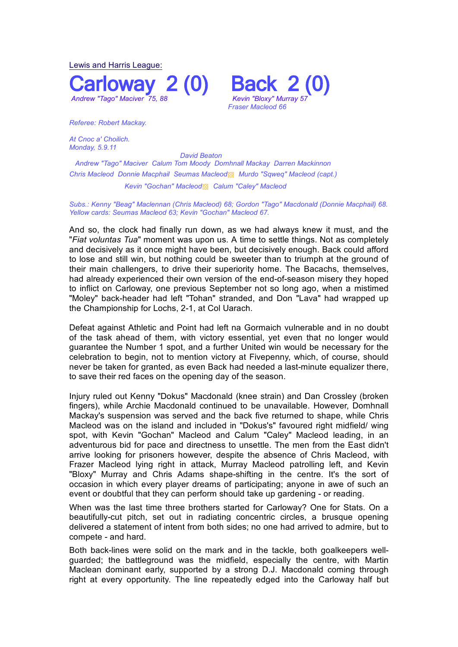Lewis and Harris League: *Andrew "Tago" Maciver 75, 88 Kevin "Bloxy" Murray 57*



*Referee: Robert Mackay.*

At Cnoc a' Choilich. *Monday, 5.9.11* 

*David Beaton*

 *Andrew "Tago" Maciver Calum Tom Moody Domhnall Mackay Darren Mackinnon Chris Macleod Donnie Macphail Seumas Macleod*▩ *Murdo "Sqweq" Macleod (capt.)*

*Kevin "Gochan" Macleod*▩ *Calum "Caley" Macleod* 

*Subs.: Kenny "Beag" Maclennan (Chris Macleod) 68; Gordon "Tago" Macdonald (Donnie Macphail) 68. Yellow cards: Seumas Macleod 63; Kevin "Gochan" Macleod 67.*

And so, the clock had finally run down, as we had always knew it must, and the "*Fiat voluntas Tua*" moment was upon us. A time to settle things. Not as completely and decisively as it once might have been, but decisively enough. Back could afford to lose and still win, but nothing could be sweeter than to triumph at the ground of their main challengers, to drive their superiority home. The Bacachs, themselves, had already experienced their own version of the end-of-season misery they hoped to inflict on Carloway, one previous September not so long ago, when a mistimed "Moley" back-header had left "Tohan" stranded, and Don "Lava" had wrapped up the Championship for Lochs, 2-1, at Col Uarach.

Defeat against Athletic and Point had left na Gormaich vulnerable and in no doubt of the task ahead of them, with victory essential, yet even that no longer would guarantee the Number 1 spot, and a further United win would be necessary for the celebration to begin, not to mention victory at Fivepenny, which, of course, should never be taken for granted, as even Back had needed a last-minute equalizer there, to save their red faces on the opening day of the season.

Injury ruled out Kenny "Dokus" Macdonald (knee strain) and Dan Crossley (broken fingers), while Archie Macdonald continued to be unavailable. However, Domhnall Mackay's suspension was served and the back five returned to shape, while Chris Macleod was on the island and included in "Dokus's" favoured right midfield/ wing spot, with Kevin "Gochan" Macleod and Calum "Caley" Macleod leading, in an adventurous bid for pace and directness to unsettle. The men from the East didn't arrive looking for prisoners however, despite the absence of Chris Macleod, with Frazer Macleod lying right in attack, Murray Macleod patrolling left, and Kevin "Bloxy" Murray and Chris Adams shape-shifting in the centre. It's the sort of occasion in which every player dreams of participating; anyone in awe of such an event or doubtful that they can perform should take up gardening - or reading.

When was the last time three brothers started for Carloway? One for Stats. On a beautifully-cut pitch, set out in radiating concentric circles, a brusque opening delivered a statement of intent from both sides; no one had arrived to admire, but to compete - and hard.

Both back-lines were solid on the mark and in the tackle, both goalkeepers wellguarded; the battleground was the midfield, especially the centre, with Martin Maclean dominant early, supported by a strong D.J. Macdonald coming through right at every opportunity. The line repeatedly edged into the Carloway half but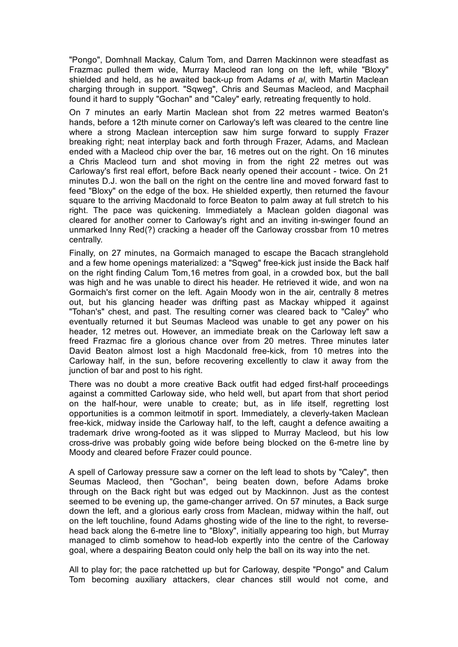"Pongo", Domhnall Mackay, Calum Tom, and Darren Mackinnon were steadfast as Frazmac pulled them wide, Murray Macleod ran long on the left, while "Bloxy" shielded and held, as he awaited back-up from Adams *et al*, with Martin Maclean charging through in support. "Sqweg", Chris and Seumas Macleod, and Macphail found it hard to supply "Gochan" and "Caley" early, retreating frequently to hold.

On 7 minutes an early Martin Maclean shot from 22 metres warmed Beaton's hands, before a 12th minute corner on Carloway's left was cleared to the centre line where a strong Maclean interception saw him surge forward to supply Frazer breaking right; neat interplay back and forth through Frazer, Adams, and Maclean ended with a Macleod chip over the bar, 16 metres out on the right. On 16 minutes a Chris Macleod turn and shot moving in from the right 22 metres out was Carloway's first real effort, before Back nearly opened their account - twice. On 21 minutes D.J. won the ball on the right on the centre line and moved forward fast to feed "Bloxy" on the edge of the box. He shielded expertly, then returned the favour square to the arriving Macdonald to force Beaton to palm away at full stretch to his right. The pace was quickening. Immediately a Maclean golden diagonal was cleared for another corner to Carloway's right and an inviting in-swinger found an unmarked Inny Red(?) cracking a header off the Carloway crossbar from 10 metres centrally.

Finally, on 27 minutes, na Gormaich managed to escape the Bacach stranglehold and a few home openings materialized: a "Sqweg" free-kick just inside the Back half on the right finding Calum Tom,16 metres from goal, in a crowded box, but the ball was high and he was unable to direct his header. He retrieved it wide, and won na Gormaich's first corner on the left. Again Moody won in the air, centrally 8 metres out, but his glancing header was drifting past as Mackay whipped it against "Tohan's" chest, and past. The resulting corner was cleared back to "Caley" who eventually returned it but Seumas Macleod was unable to get any power on his header, 12 metres out. However, an immediate break on the Carloway left saw a freed Frazmac fire a glorious chance over from 20 metres. Three minutes later David Beaton almost lost a high Macdonald free-kick, from 10 metres into the Carloway half, in the sun, before recovering excellently to claw it away from the junction of bar and post to his right.

There was no doubt a more creative Back outfit had edged first-half proceedings against a committed Carloway side, who held well, but apart from that short period on the half-hour, were unable to create; but, as in life itself, regretting lost opportunities is a common leitmotif in sport. Immediately, a cleverly-taken Maclean free-kick, midway inside the Carloway half, to the left, caught a defence awaiting a trademark drive wrong-footed as it was slipped to Murray Macleod, but his low cross-drive was probably going wide before being blocked on the 6-metre line by Moody and cleared before Frazer could pounce.

A spell of Carloway pressure saw a corner on the left lead to shots by "Caley", then Seumas Macleod, then "Gochan", being beaten down, before Adams broke through on the Back right but was edged out by Mackinnon. Just as the contest seemed to be evening up, the game-changer arrived. On 57 minutes, a Back surge down the left, and a glorious early cross from Maclean, midway within the half, out on the left touchline, found Adams ghosting wide of the line to the right, to reversehead back along the 6-metre line to "Bloxy", initially appearing too high, but Murray managed to climb somehow to head-lob expertly into the centre of the Carloway goal, where a despairing Beaton could only help the ball on its way into the net.

All to play for; the pace ratchetted up but for Carloway, despite "Pongo" and Calum Tom becoming auxiliary attackers, clear chances still would not come, and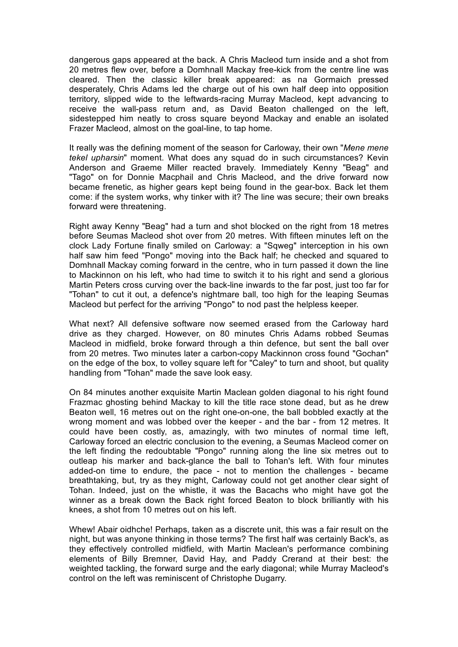dangerous gaps appeared at the back. A Chris Macleod turn inside and a shot from 20 metres flew over, before a Domhnall Mackay free-kick from the centre line was cleared. Then the classic killer break appeared: as na Gormaich pressed desperately, Chris Adams led the charge out of his own half deep into opposition territory, slipped wide to the leftwards-racing Murray Macleod, kept advancing to receive the wall-pass return and, as David Beaton challenged on the left, sidestepped him neatly to cross square beyond Mackay and enable an isolated Frazer Macleod, almost on the goal-line, to tap home.

It really was the defining moment of the season for Carloway, their own "*Mene mene tekel upharsin*" moment. What does any squad do in such circumstances? Kevin Anderson and Graeme Miller reacted bravely. Immediately Kenny "Beag" and "Tago" on for Donnie Macphail and Chris Macleod, and the drive forward now became frenetic, as higher gears kept being found in the gear-box. Back let them come: if the system works, why tinker with it? The line was secure; their own breaks forward were threatening.

Right away Kenny "Beag" had a turn and shot blocked on the right from 18 metres before Seumas Macleod shot over from 20 metres. With fifteen minutes left on the clock Lady Fortune finally smiled on Carloway: a "Sqweg" interception in his own half saw him feed "Pongo" moving into the Back half; he checked and squared to Domhnall Mackay coming forward in the centre, who in turn passed it down the line to Mackinnon on his left, who had time to switch it to his right and send a glorious Martin Peters cross curving over the back-line inwards to the far post, just too far for "Tohan" to cut it out, a defence's nightmare ball, too high for the leaping Seumas Macleod but perfect for the arriving "Pongo" to nod past the helpless keeper.

What next? All defensive software now seemed erased from the Carloway hard drive as they charged. However, on 80 minutes Chris Adams robbed Seumas Macleod in midfield, broke forward through a thin defence, but sent the ball over from 20 metres. Two minutes later a carbon-copy Mackinnon cross found "Gochan" on the edge of the box, to volley square left for "Caley" to turn and shoot, but quality handling from "Tohan" made the save look easy.

On 84 minutes another exquisite Martin Maclean golden diagonal to his right found Frazmac ghosting behind Mackay to kill the title race stone dead, but as he drew Beaton well, 16 metres out on the right one-on-one, the ball bobbled exactly at the wrong moment and was lobbed over the keeper - and the bar - from 12 metres. It could have been costly, as, amazingly, with two minutes of normal time left, Carloway forced an electric conclusion to the evening, a Seumas Macleod corner on the left finding the redoubtable "Pongo" running along the line six metres out to outleap his marker and back-glance the ball to Tohan's left. With four minutes added-on time to endure, the pace - not to mention the challenges - became breathtaking, but, try as they might, Carloway could not get another clear sight of Tohan. Indeed, just on the whistle, it was the Bacachs who might have got the winner as a break down the Back right forced Beaton to block brilliantly with his knees, a shot from 10 metres out on his left.

Whew! Abair oidhche! Perhaps, taken as a discrete unit, this was a fair result on the night, but was anyone thinking in those terms? The first half was certainly Back's, as they effectively controlled midfield, with Martin Maclean's performance combining elements of Billy Bremner, David Hay, and Paddy Crerand at their best: the weighted tackling, the forward surge and the early diagonal; while Murray Macleod's control on the left was reminiscent of Christophe Dugarry.